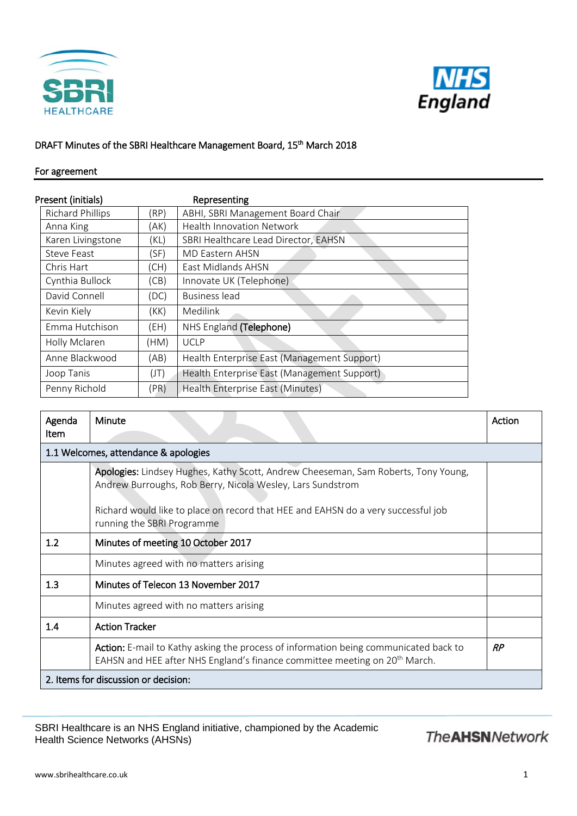



## DRAFT Minutes of the SBRI Healthcare Management Board, 15<sup>th</sup> March 2018

## For agreement

| Present (initials)      |      | Representing                                |
|-------------------------|------|---------------------------------------------|
| <b>Richard Phillips</b> | (RP) | ABHI, SBRI Management Board Chair           |
| Anna King               | (AK) | <b>Health Innovation Network</b>            |
| Karen Livingstone       | (KL) | SBRI Healthcare Lead Director, EAHSN        |
| Steve Feast             | (SF) | <b>MD Eastern AHSN</b>                      |
| Chris Hart              | (CH) | East Midlands AHSN                          |
| Cynthia Bullock         | (CB) | Innovate UK (Telephone)                     |
| David Connell           | (DC) | <b>Business lead</b>                        |
| Kevin Kiely             | (KK) | Medilink                                    |
| Emma Hutchison          | (EH) | NHS England (Telephone)                     |
| Holly Mclaren           | (HM) | <b>UCLP</b>                                 |
| Anne Blackwood          | (AB) | Health Enterprise East (Management Support) |
| Joop Tanis              | (JT) | Health Enterprise East (Management Support) |
| Penny Richold           | (PR) | Health Enterprise East (Minutes)            |

| Agenda<br><b>Item</b>                | <b>Minute</b>                                                                                                                                                                  | Action |  |  |  |
|--------------------------------------|--------------------------------------------------------------------------------------------------------------------------------------------------------------------------------|--------|--|--|--|
| 1.1 Welcomes, attendance & apologies |                                                                                                                                                                                |        |  |  |  |
|                                      | Apologies: Lindsey Hughes, Kathy Scott, Andrew Cheeseman, Sam Roberts, Tony Young,<br>Andrew Burroughs, Rob Berry, Nicola Wesley, Lars Sundstrom                               |        |  |  |  |
|                                      | Richard would like to place on record that HEE and EAHSN do a very successful job<br>running the SBRI Programme                                                                |        |  |  |  |
| 1.2                                  | Minutes of meeting 10 October 2017                                                                                                                                             |        |  |  |  |
|                                      | Minutes agreed with no matters arising                                                                                                                                         |        |  |  |  |
| 1.3                                  | Minutes of Telecon 13 November 2017                                                                                                                                            |        |  |  |  |
|                                      | Minutes agreed with no matters arising                                                                                                                                         |        |  |  |  |
| 1.4                                  | <b>Action Tracker</b>                                                                                                                                                          |        |  |  |  |
|                                      | Action: E-mail to Kathy asking the process of information being communicated back to<br>EAHSN and HEE after NHS England's finance committee meeting on 20 <sup>th</sup> March. | RP     |  |  |  |
|                                      | 2. Items for discussion or decision:                                                                                                                                           |        |  |  |  |

SBRI Healthcare is an NHS England initiative, championed by the Academic Health Science Networks (AHSNs)

## **The AHSN Network**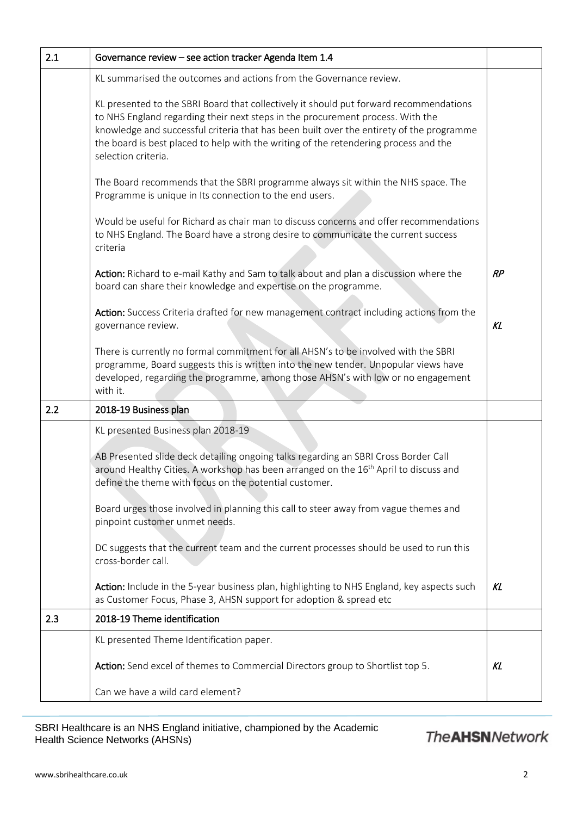| Governance review - see action tracker Agenda Item 1.4                                                                                                                                                                                                                                                                                                                              |    |
|-------------------------------------------------------------------------------------------------------------------------------------------------------------------------------------------------------------------------------------------------------------------------------------------------------------------------------------------------------------------------------------|----|
| KL summarised the outcomes and actions from the Governance review.                                                                                                                                                                                                                                                                                                                  |    |
| KL presented to the SBRI Board that collectively it should put forward recommendations<br>to NHS England regarding their next steps in the procurement process. With the<br>knowledge and successful criteria that has been built over the entirety of the programme<br>the board is best placed to help with the writing of the retendering process and the<br>selection criteria. |    |
| The Board recommends that the SBRI programme always sit within the NHS space. The<br>Programme is unique in Its connection to the end users.                                                                                                                                                                                                                                        |    |
| Would be useful for Richard as chair man to discuss concerns and offer recommendations<br>to NHS England. The Board have a strong desire to communicate the current success<br>criteria                                                                                                                                                                                             |    |
| Action: Richard to e-mail Kathy and Sam to talk about and plan a discussion where the<br>board can share their knowledge and expertise on the programme.                                                                                                                                                                                                                            | RP |
| Action: Success Criteria drafted for new management contract including actions from the<br>governance review.                                                                                                                                                                                                                                                                       | KL |
| There is currently no formal commitment for all AHSN's to be involved with the SBRI<br>programme, Board suggests this is written into the new tender. Unpopular views have<br>developed, regarding the programme, among those AHSN's with low or no engagement<br>with it.                                                                                                          |    |
| 2018-19 Business plan                                                                                                                                                                                                                                                                                                                                                               |    |
| KL presented Business plan 2018-19                                                                                                                                                                                                                                                                                                                                                  |    |
| AB Presented slide deck detailing ongoing talks regarding an SBRI Cross Border Call<br>around Healthy Cities. A workshop has been arranged on the 16 <sup>th</sup> April to discuss and<br>define the theme with focus on the potential customer.                                                                                                                                   |    |
| Board urges those involved in planning this call to steer away from vague themes and<br>pinpoint customer unmet needs.                                                                                                                                                                                                                                                              |    |
| DC suggests that the current team and the current processes should be used to run this<br>cross-border call.                                                                                                                                                                                                                                                                        |    |
| Action: Include in the 5-year business plan, highlighting to NHS England, key aspects such<br>as Customer Focus, Phase 3, AHSN support for adoption & spread etc                                                                                                                                                                                                                    | KL |
| 2018-19 Theme identification                                                                                                                                                                                                                                                                                                                                                        |    |
| KL presented Theme Identification paper.                                                                                                                                                                                                                                                                                                                                            |    |
| Action: Send excel of themes to Commercial Directors group to Shortlist top 5.                                                                                                                                                                                                                                                                                                      | KL |
| Can we have a wild card element?                                                                                                                                                                                                                                                                                                                                                    |    |
|                                                                                                                                                                                                                                                                                                                                                                                     |    |

SBRI Healthcare is an NHS England initiative, championed by the Academic Health Science Networks (AHSNs)

## **The AHSN Network**